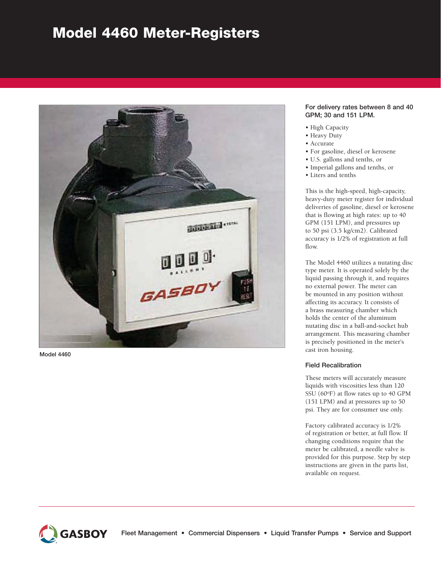# Model 4460 Meter-Registers



Model 4460

### For delivery rates between 8 and 40 GPM; 30 and 151 LPM.

- High Capacity
- Heavy Duty
- • Accurate
- • For gasoline, diesel or kerosene
- • U.S. gallons and tenths, or
- • Imperial gallons and tenths, or
- • Liters and tenths

This is the high-speed, high-capacity, heavy-duty meter register for individual deliveries of gasoline, diesel or kerosene that is flowing at high rates: up to 40 GPM (151 LPM), and pressures up to 50 psi (3.5 kg/cm2). Calibrated accuracy is 1/2% of registration at full flow.

The Model 4460 utilizes a nutating disc type meter. It is operated solely by the liquid passing through it, and requires no external power. The meter can be mounted in any position without affecting its accuracy. It consists of a brass measuring chamber which holds the center of the aluminum nutating disc in a ball-and-socket hub arrangement. This measuring chamber is precisely positioned in the meter's cast iron housing.

## Field Recalibration

These meters will accurately measure liquids with viscosities less than 120 SSU  $(60^{\circ}F)$  at flow rates up to 40 GPM (151 LPM) and at pressures up to 50 psi. They are for consumer use only.

Factory calibrated accuracy is 1/2% of registration or better, at full flow. If changing conditions require that the meter be calibrated, a needle valve is provided for this purpose. Step by step instructions are given in the parts list, available on request.